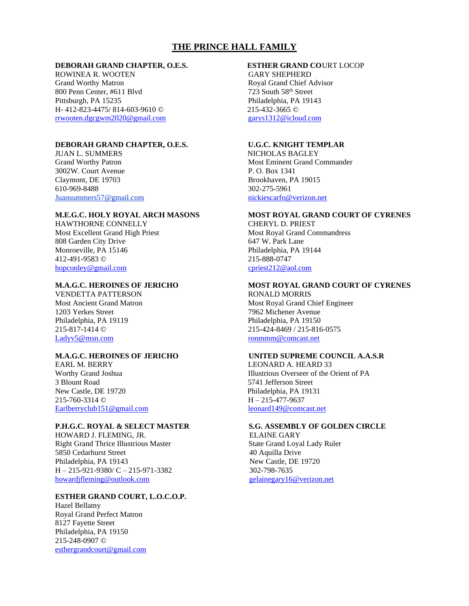# **THE PRINCE HALL FAMILY**

## **DEBORAH GRAND CHAPTER, O.E.S. ESTHER GRAND CO**URT LOCOP

ROWINEA R. WOOTEN GARY SHEPHERD Grand Worthy Matron **Royal Grand Chief Advisor** 800 Penn Center, #611 Blvd 723 South 58<sup>th</sup> Street Pittsburgh, PA 15235 Philadelphia, PA 19143 H- 412-823-4475/ 814-603-9610 © 215-432-3665 © [rrwooten.dgcgwm2020@gmail.com](mailto:rrwooten.dgcgwm2020@gmail.com) [garys1312@icloud.com](mailto:garys1312@icloud.com)

## **DEBORAH GRAND CHAPTER, O.E.S. U.G.C. KNIGHT TEMPLAR**

JUAN L. SUMMERS NICHOLAS BAGLEY 3002W. Court Avenue P. O. Box 1341 Claymont, DE 19703 Brookhaven, PA 19015 610-969-8488 302-275-5961 Juansummers57@gmail.com nickiescarfo@verizon.net

HAWTHORNE CONNELLY CHERYL D. PRIEST Most Excellent Grand High Priest Most Royal Grand Commandress 808 Garden City Drive 647 W. Park Lane Monroeville, PA 15146 **Philadelphia**, PA 19144 Philadelphia, PA 19144 215-888-0747 412-491-9583 © [hopconley@gmail.com](mailto:hopconley@gmail.com) cpriest212@aol.com

VENDETTA PATTERSON RONALD MORRIS 1203 Yerkes Street 7962 Michener Avenue Philadelphia, PA 19119 Philadelphia, PA 19150 [Ladyv5@msn.com](mailto:Ladyv5@msn.com) ronmmm@comcast.net

EARL M. BERRY LEONARD A. HEARD 33 3 Blount Road 5741 Jefferson Street New Castle, DE 19720 Philadelphia, PA 19131 215-760-3314 © H – 215-477-9637 [Earlberryclub151@gmail.com](mailto:Earlberryclub151@gmail.com) leonard149@comcast.net

## **P.H.G.C. ROYAL & SELECT MASTER S.G. ASSEMBLY OF GOLDEN CIRCLE**

HOWARD J. FLEMING, JR. ELAINE GARY Right Grand Thrice Illustrious Master State Grand Loyal Lady Ruler 5850 Cedarhurst Street 40 Aquilla Drive Philadelphia, PA 19143 New Castle, DE 19720  $H - 215-921-9380/C - 215-971-3382$  302-798-7635 [howardjfleming@outlook.com](mailto:howardjfleming@outlook.com) [gelainegary16@verizon.net](mailto:gelainegary16@verizon.net) 

## **ESTHER GRAND COURT, L.O.C.O.P.**

Hazel Bellamy Royal Grand Perfect Matron 8127 Fayette Street Philadelphia, PA 19150 215-248-0907 © [esthergrandcourt@gmail.com](mailto:esthergrandcourt@gmail.com)

Grand Worthy Patron Most Eminent Grand Commander

# **M.E.G.C. HOLY ROYAL ARCH MASONS MOST ROYAL GRAND COURT OF CYRENES**

# **M.A.G.C. HEROINES OF JERICHO MOST ROYAL GRAND COURT OF CYRENES**

Most Ancient Grand Matron Most Royal Grand Chief Engineer 215-817-1414 © 215-424-8469 / 215-816-0575

## **M.A.G.C. HEROINES OF JERICHO UNITED SUPREME COUNCIL A.A.S.R**

Worthy Grand Joshua **Illustrious Overseer of the Orient of PA**